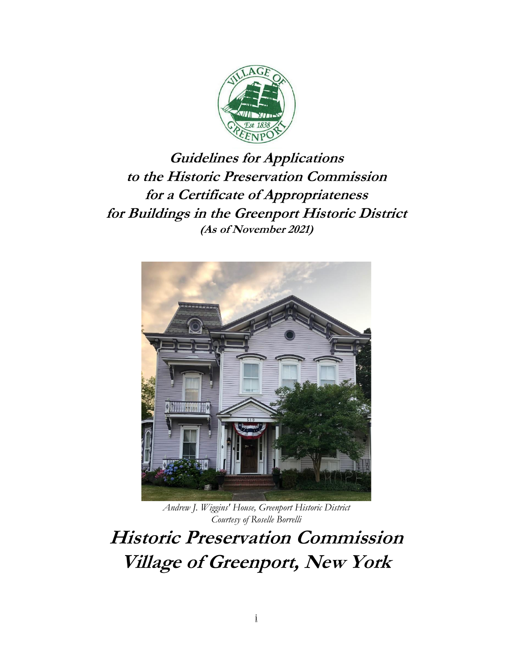

**Guidelines for Applications to the Historic Preservation Commission for a Certificate of Appropriateness for Buildings in the Greenport Historic District (As of November 2021)**



*Andrew J. Wiggins' House, Greenport Historic District Courtesy of Roselle Borrelli*

**Historic Preservation Commission Village of Greenport, New York**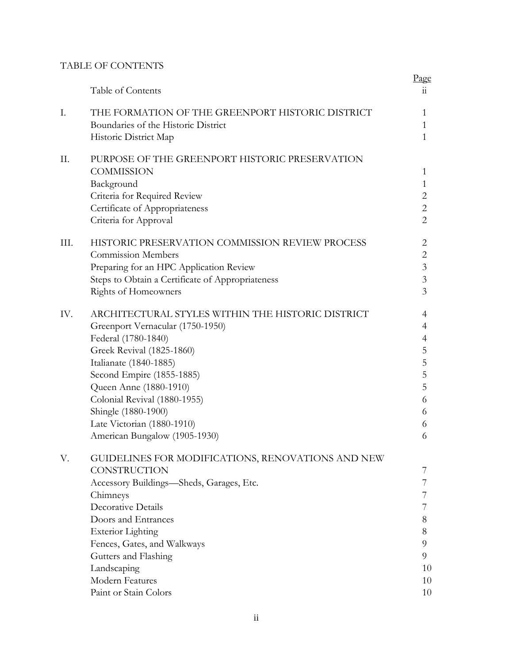## TABLE OF CONTENTS

|      | Table of Contents                                      | Page<br>11     |
|------|--------------------------------------------------------|----------------|
|      |                                                        |                |
| Ι.   | THE FORMATION OF THE GREENPORT HISTORIC DISTRICT       | 1              |
|      | Boundaries of the Historic District                    | 1              |
|      | Historic District Map                                  | $\mathbf{1}$   |
| П.   | PURPOSE OF THE GREENPORT HISTORIC PRESERVATION         |                |
|      | <b>COMMISSION</b>                                      | 1              |
|      | Background                                             | $\mathbf{1}$   |
|      | Criteria for Required Review                           | $\overline{2}$ |
|      | Certificate of Appropriateness                         | $\overline{2}$ |
|      | Criteria for Approval                                  | $\overline{2}$ |
| III. | <b>HISTORIC PRESERVATION COMMISSION REVIEW PROCESS</b> | 2              |
|      | <b>Commission Members</b>                              | $\overline{2}$ |
|      | Preparing for an HPC Application Review                | $\mathfrak{Z}$ |
|      | Steps to Obtain a Certificate of Appropriateness       | $\overline{3}$ |
|      | Rights of Homeowners                                   | 3              |
| IV.  | ARCHITECTURAL STYLES WITHIN THE HISTORIC DISTRICT      | 4              |
|      | Greenport Vernacular (1750-1950)                       | 4              |
|      | Federal (1780-1840)                                    | $\overline{4}$ |
|      | Greek Revival (1825-1860)                              | 5              |
|      | Italianate (1840-1885)                                 | 5              |
|      | Second Empire (1855-1885)                              | 5              |
|      | Queen Anne (1880-1910)                                 | 5              |
|      | Colonial Revival (1880-1955)                           | 6              |
|      | Shingle (1880-1900)                                    | 6              |
|      | Late Victorian (1880-1910)                             | 6              |
|      | American Bungalow (1905-1930)                          | 6              |
| V.   | GUIDELINES FOR MODIFICATIONS, RENOVATIONS AND NEW      |                |
|      | <b>CONSTRUCTION</b>                                    | 7              |
|      | Accessory Buildings-Sheds, Garages, Etc.               | 7              |
|      | Chimneys                                               | 7              |
|      | Decorative Details                                     | 7              |
|      | Doors and Entrances                                    | 8              |
|      | <b>Exterior Lighting</b>                               | $8\,$          |
|      | Fences, Gates, and Walkways                            | 9              |
|      | Gutters and Flashing                                   | 9              |
|      | Landscaping                                            | 10             |
|      | Modern Features                                        | 10             |
|      | Paint or Stain Colors                                  | 10             |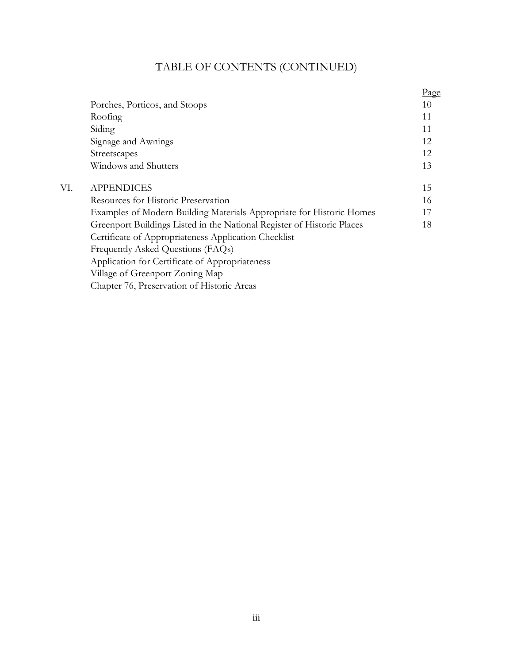# TABLE OF CONTENTS (CONTINUED)

|                                                                        | <u>Page</u> |
|------------------------------------------------------------------------|-------------|
| Porches, Porticos, and Stoops                                          | 10          |
| Roofing                                                                | 11          |
| Siding                                                                 | 11          |
| Signage and Awnings                                                    | 12          |
| Streetscapes                                                           | 12          |
| Windows and Shutters                                                   | 13          |
| <b>APPENDICES</b>                                                      | 15          |
| Resources for Historic Preservation                                    | 16          |
| Examples of Modern Building Materials Appropriate for Historic Homes   | 17          |
| Greenport Buildings Listed in the National Register of Historic Places | 18          |
| Certificate of Appropriateness Application Checklist                   |             |
| Frequently Asked Questions (FAQs)                                      |             |
| Application for Certificate of Appropriateness                         |             |
| Village of Greenport Zoning Map                                        |             |
| Chapter 76, Preservation of Historic Areas                             |             |
|                                                                        |             |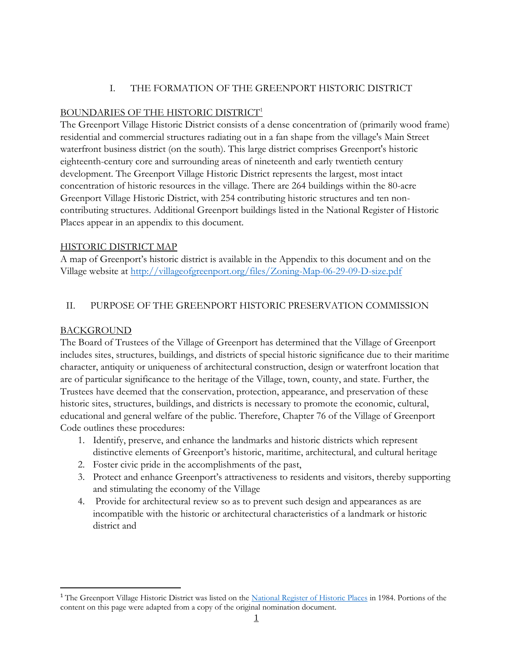# I. THE FORMATION OF THE GREENPORT HISTORIC DISTRICT

## BOUNDARIES OF THE HISTORIC DISTRICT<sup>1</sup>

The Greenport Village Historic District consists of a dense concentration of (primarily wood frame) residential and commercial structures radiating out in a fan shape from the village's Main Street waterfront business district (on the south). This large district comprises Greenport's historic eighteenth-century core and surrounding areas of nineteenth and early twentieth century development. The Greenport Village Historic District represents the largest, most intact concentration of historic resources in the village. There are 264 buildings within the 80-acre Greenport Village Historic District, with 254 contributing historic structures and ten noncontributing structures. Additional Greenport buildings listed in the National Register of Historic Places appear in an appendix to this document.

#### HISTORIC DISTRICT MAP

A map of Greenport's historic district is available in the Appendix to this document and on the Village website at<http://villageofgreenport.org/files/Zoning-Map-06-29-09-D-size.pdf>

#### II. PURPOSE OF THE GREENPORT HISTORIC PRESERVATION COMMISSION

#### BACKGROUND

The Board of Trustees of the Village of Greenport has determined that the Village of Greenport includes sites, structures, buildings, and districts of special historic significance due to their maritime character, antiquity or uniqueness of architectural construction, design or waterfront location that are of particular significance to the heritage of the Village, town, county, and state. Further, the Trustees have deemed that the conservation, protection, appearance, and preservation of these historic sites, structures, buildings, and districts is necessary to promote the economic, cultural, educational and general welfare of the public. Therefore, Chapter 76 of the Village of Greenport Code outlines these procedures:

- 1. Identify, preserve, and enhance the landmarks and historic districts which represent distinctive elements of Greenport's historic, maritime, architectural, and cultural heritage
- 2. Foster civic pride in the accomplishments of the past,
- 3. Protect and enhance Greenport's attractiveness to residents and visitors, thereby supporting and stimulating the economy of the Village
- 4. Provide for architectural review so as to prevent such design and appearances as are incompatible with the historic or architectural characteristics of a landmark or historic district and

<sup>&</sup>lt;sup>1</sup> The Greenport Village Historic District was listed on the [National Register of Historic Places](https://www.livingplaces.com/nationalregisterindex.html) in 1984. Portions of the content on this page were adapted from a copy of the original nomination document.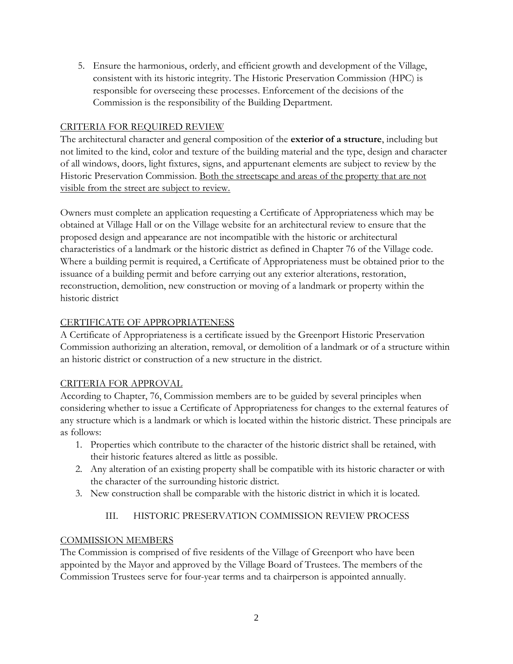5. Ensure the harmonious, orderly, and efficient growth and development of the Village, consistent with its historic integrity. The Historic Preservation Commission (HPC) is responsible for overseeing these processes. Enforcement of the decisions of the Commission is the responsibility of the Building Department.

# CRITERIA FOR REQUIRED REVIEW

The architectural character and general composition of the **exterior of a structure**, including but not limited to the kind, color and texture of the building material and the type, design and character of all windows, doors, light fixtures, signs, and appurtenant elements are subject to review by the Historic Preservation Commission. Both the streetscape and areas of the property that are not visible from the street are subject to review.

Owners must complete an application requesting a Certificate of Appropriateness which may be obtained at Village Hall or on the Village website for an architectural review to ensure that the proposed design and appearance are not incompatible with the historic or architectural characteristics of a landmark or the historic district as defined in Chapter 76 of the Village code. Where a building permit is required, a Certificate of Appropriateness must be obtained prior to the issuance of a building permit and before carrying out any exterior alterations, restoration, reconstruction, demolition, new construction or moving of a landmark or property within the historic district

# CERTIFICATE OF APPROPRIATENESS

A Certificate of Appropriateness is a certificate issued by the Greenport Historic Preservation Commission authorizing an alteration, removal, or demolition of a landmark or of a structure within an historic district or construction of a new structure in the district.

# CRITERIA FOR APPROVAL

According to Chapter, 76, Commission members are to be guided by several principles when considering whether to issue a Certificate of Appropriateness for changes to the external features of any structure which is a landmark or which is located within the historic district. These principals are as follows:

- 1. Properties which contribute to the character of the historic district shall be retained, with their historic features altered as little as possible.
- 2. Any alteration of an existing property shall be compatible with its historic character or with the character of the surrounding historic district.
- 3. New construction shall be comparable with the historic district in which it is located.

# III. HISTORIC PRESERVATION COMMISSION REVIEW PROCESS

# COMMISSION MEMBERS

The Commission is comprised of five residents of the Village of Greenport who have been appointed by the Mayor and approved by the Village Board of Trustees. The members of the Commission Trustees serve for four-year terms and ta chairperson is appointed annually.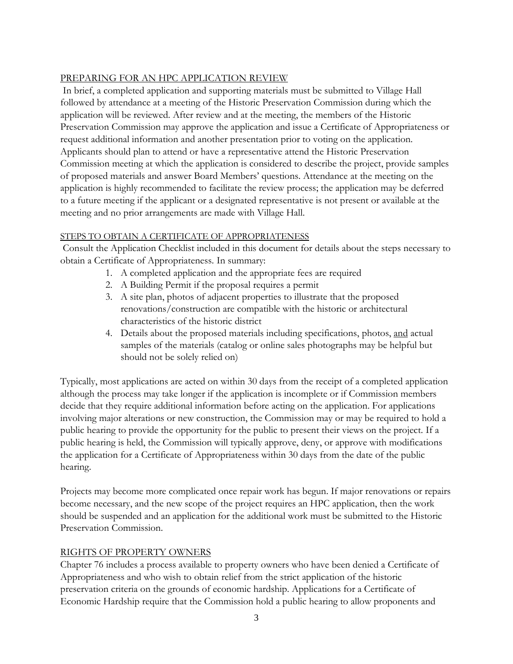# PREPARING FOR AN HPC APPLICATION REVIEW

In brief, a completed application and supporting materials must be submitted to Village Hall followed by attendance at a meeting of the Historic Preservation Commission during which the application will be reviewed. After review and at the meeting, the members of the Historic Preservation Commission may approve the application and issue a Certificate of Appropriateness or request additional information and another presentation prior to voting on the application. Applicants should plan to attend or have a representative attend the Historic Preservation Commission meeting at which the application is considered to describe the project, provide samples of proposed materials and answer Board Members' questions. Attendance at the meeting on the application is highly recommended to facilitate the review process; the application may be deferred to a future meeting if the applicant or a designated representative is not present or available at the meeting and no prior arrangements are made with Village Hall.

# STEPS TO OBTAIN A CERTIFICATE OF APPROPRIATENESS

Consult the Application Checklist included in this document for details about the steps necessary to obtain a Certificate of Appropriateness. In summary:

- 1. A completed application and the appropriate fees are required
- 2. A Building Permit if the proposal requires a permit
- 3. A site plan, photos of adjacent properties to illustrate that the proposed renovations/construction are compatible with the historic or architectural characteristics of the historic district
- 4. Details about the proposed materials including specifications, photos, and actual samples of the materials (catalog or online sales photographs may be helpful but should not be solely relied on)

Typically, most applications are acted on within 30 days from the receipt of a completed application although the process may take longer if the application is incomplete or if Commission members decide that they require additional information before acting on the application. For applications involving major alterations or new construction, the Commission may or may be required to hold a public hearing to provide the opportunity for the public to present their views on the project. If a public hearing is held, the Commission will typically approve, deny, or approve with modifications the application for a Certificate of Appropriateness within 30 days from the date of the public hearing.

Projects may become more complicated once repair work has begun. If major renovations or repairs become necessary, and the new scope of the project requires an HPC application, then the work should be suspended and an application for the additional work must be submitted to the Historic Preservation Commission.

# RIGHTS OF PROPERTY OWNERS

Chapter 76 includes a process available to property owners who have been denied a Certificate of Appropriateness and who wish to obtain relief from the strict application of the historic preservation criteria on the grounds of economic hardship. Applications for a Certificate of Economic Hardship require that the Commission hold a public hearing to allow proponents and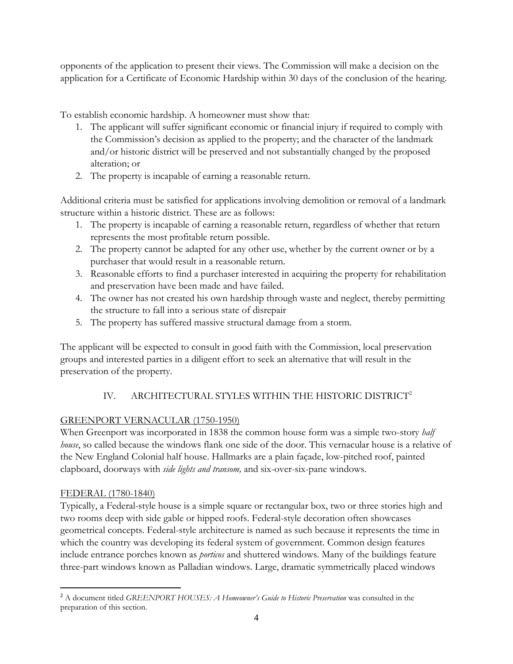opponents of the application to present their views. The Commission will make a decision on the application for a Certificate of Economic Hardship within 30 days of the conclusion of the hearing.

To establish economic hardship. A homeowner must show that:

- 1. The applicant will suffer significant economic or financial injury if required to comply with the Commission's decision as applied to the property; and the character of the landmark and/or historic district will be preserved and not substantially changed by the proposed alteration; or
- 2. The property is incapable of earning a reasonable return.

Additional criteria must be satisfied for applications involving demolition or removal of a landmark structure within a historic district. These are as follows:

- 1. The property is incapable of earning a reasonable return, regardless of whether that return represents the most profitable return possible.
- 2. The property cannot be adapted for any other use, whether by the current owner or by a purchaser that would result in a reasonable return.
- 3. Reasonable efforts to find a purchaser interested in acquiring the property for rehabilitation and preservation have been made and have failed.
- 4. The owner has not created his own hardship through waste and neglect, thereby permitting the structure to fall into a serious state of disrepair
- 5. The property has suffered massive structural damage from a storm.

The applicant will be expected to consult in good faith with the Commission, local preservation groups and interested parties in a diligent effort to seek an alternative that will result in the preservation of the property.

# IV. ARCHITECTURAL STYLES WITHIN THE HISTORIC DISTRICT<sup>2</sup>

# GREENPORT VERNACULAR (1750-1950)

When Greenport was incorporated in 1838 the common house form was a simple two-story *half house*, so called because the windows flank one side of the door. This vernacular house is a relative of the New England Colonial half house. Hallmarks are a plain façade, low-pitched roof, painted clapboard, doorways with *side lights and transom,* and six-over-six-pane windows.

# FEDERAL (1780-1840)

Typically, a Federal-style house is a simple square or rectangular box, two or three stories high and two rooms deep with side gable or hipped roofs. Federal-style decoration often showcases geometrical concepts. Federal-style architecture is named as such because it represents the time in which the country was developing its federal system of government. Common design features include entrance porches known as *porticos* and shuttered windows. Many of the buildings feature three-part windows known as Palladian windows. Large, dramatic symmetrically placed windows

<sup>2</sup> A document titled *GREENPORT HOUSES: A Homeowner's Guide to Historic Preservation* was consulted in the preparation of this section.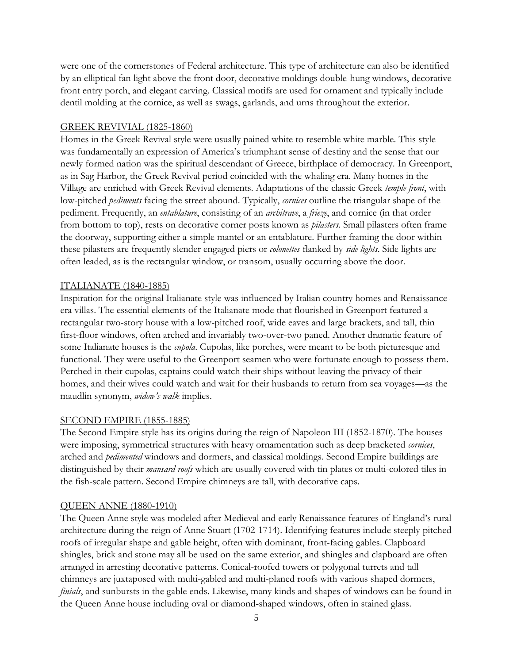were one of the cornerstones of Federal architecture. This type of architecture can also be identified by an elliptical fan light above the front door, decorative moldings double-hung windows, decorative front entry porch, and elegant carving. Classical motifs are used for ornament and typically include dentil molding at the cornice, as well as swags, garlands, and urns throughout the exterior.

#### GREEK REVIVIAL (1825-1860)

Homes in the Greek Revival style were usually pained white to resemble white marble. This style was fundamentally an expression of America's triumphant sense of destiny and the sense that our newly formed nation was the spiritual descendant of Greece, birthplace of democracy. In Greenport, as in Sag Harbor, the Greek Revival period coincided with the whaling era. Many homes in the Village are enriched with Greek Revival elements. Adaptations of the classic Greek *temple front*, with low-pitched *pediments* facing the street abound. Typically, *cornices* outline the triangular shape of the pediment. Frequently, an *entablature*, consisting of an *architrave*, a *frieze*, and cornice (in that order from bottom to top), rests on decorative corner posts known as *pilasters.* Small pilasters often frame the doorway, supporting either a simple mantel or an entablature. Further framing the door within these pilasters are frequently slender engaged piers or *colonettes* flanked by *side lights*. Side lights are often leaded, as is the rectangular window, or transom, usually occurring above the door.

# ITALIANATE (1840-1885)

Inspiration for the original Italianate style was influenced by Italian country homes and Renaissanceera villas. The essential elements of the Italianate mode that flourished in Greenport featured a rectangular two-story house with a low-pitched roof, wide eaves and large brackets, and tall, thin first-floor windows, often arched and invariably two-over-two paned. Another dramatic feature of some Italianate houses is the *cupola*. Cupolas, like porches, were meant to be both picturesque and functional. They were useful to the Greenport seamen who were fortunate enough to possess them. Perched in their cupolas, captains could watch their ships without leaving the privacy of their homes, and their wives could watch and wait for their husbands to return from sea voyages—as the maudlin synonym, *widow's walk* implies.

#### SECOND EMPIRE (1855-1885)

The Second Empire style has its origins during the reign of Napoleon III (1852-1870). The houses were imposing, symmetrical structures with heavy ornamentation such as deep bracketed *cornices*, arched and *pedimented* windows and dormers, and classical moldings. Second Empire buildings are distinguished by their *mansard roofs* which are usually covered with tin plates or multi-colored tiles in the fish-scale pattern. Second Empire chimneys are tall, with decorative caps.

#### QUEEN ANNE (1880-1910)

The Queen Anne style was modeled after Medieval and early Renaissance features of England's rural architecture during the reign of Anne Stuart (1702-1714). Identifying features include steeply pitched roofs of irregular shape and gable height, often with dominant, front-facing gables. Clapboard shingles, brick and stone may all be used on the same exterior, and shingles and clapboard are often arranged in arresting decorative patterns. Conical-roofed towers or polygonal turrets and tall chimneys are juxtaposed with multi-gabled and multi-planed roofs with various shaped dormers, *finials*, and sunbursts in the gable ends. Likewise, many kinds and shapes of windows can be found in the Queen Anne house including oval or diamond-shaped windows, often in stained glass.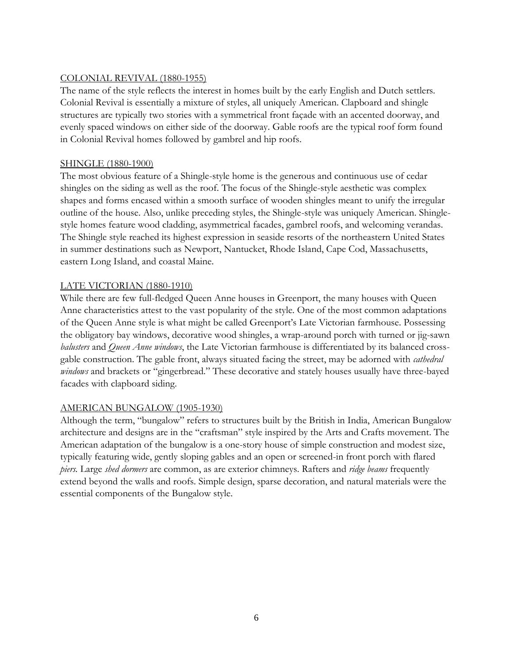# COLONIAL REVIVAL (1880-1955)

The name of the style reflects the interest in homes built by the early English and Dutch settlers. Colonial Revival is essentially a mixture of styles, all uniquely American. Clapboard and shingle structures are typically two stories with a symmetrical front façade with an accented doorway, and evenly spaced windows on either side of the doorway. Gable roofs are the typical roof form found in Colonial Revival homes followed by gambrel and hip roofs.

#### SHINGLE (1880-1900)

The most obvious feature of a Shingle-style home is the generous and continuous use of cedar shingles on the siding as well as the roof. The focus of the Shingle-style aesthetic was complex shapes and forms encased within a smooth surface of wooden shingles meant to unify the irregular outline of the house. Also, unlike preceding styles, the Shingle-style was uniquely American. Shinglestyle homes feature wood cladding, asymmetrical facades, gambrel roofs, and welcoming verandas. The Shingle style reached its highest expression in seaside resorts of the northeastern United States in summer destinations such as Newport, Nantucket, Rhode Island, Cape Cod, Massachusetts, eastern Long Island, and coastal Maine.

#### LATE VICTORIAN (1880-1910)

While there are few full-fledged Queen Anne houses in Greenport, the many houses with Queen Anne characteristics attest to the vast popularity of the style. One of the most common adaptations of the Queen Anne style is what might be called Greenport's Late Victorian farmhouse. Possessing the obligatory bay windows, decorative wood shingles, a wrap-around porch with turned or jig-sawn *balusters* and *Queen Anne windows*, the Late Victorian farmhouse is differentiated by its balanced crossgable construction. The gable front, always situated facing the street, may be adorned with *cathedral windows* and brackets or "gingerbread." These decorative and stately houses usually have three-bayed facades with clapboard siding.

# AMERICAN BUNGALOW (1905-1930)

Although the term, "bungalow" refers to structures built by the British in India, American Bungalow architecture and designs are in the "craftsman" style inspired by the Arts and Crafts movement. The American adaptation of the bungalow is a one-story house of simple construction and modest size, typically featuring wide, gently sloping gables and an open or screened-in front porch with flared *piers.* Large *shed dormers* are common, as are exterior chimneys. Rafters and *ridge beams* frequently extend beyond the walls and roofs. Simple design, sparse decoration, and natural materials were the essential components of the Bungalow style.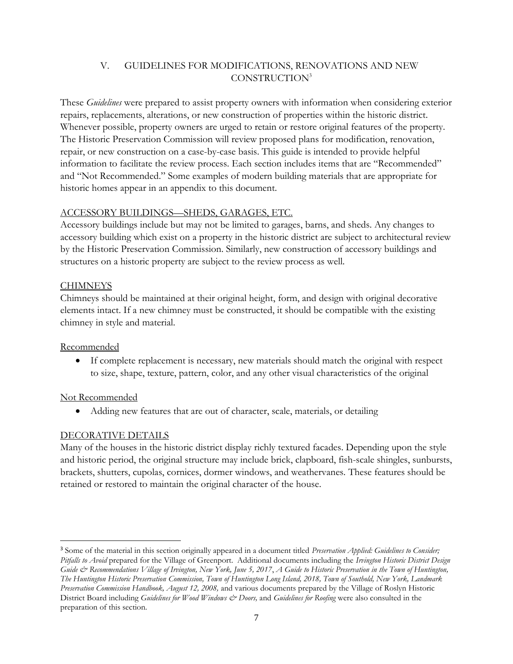# V. GUIDELINES FOR MODIFICATIONS, RENOVATIONS AND NEW CONSTRUCTION<sup>3</sup>

These *Guidelines* were prepared to assist property owners with information when considering exterior repairs, replacements, alterations, or new construction of properties within the historic district. Whenever possible, property owners are urged to retain or restore original features of the property. The Historic Preservation Commission will review proposed plans for modification, renovation, repair, or new construction on a case-by-case basis. This guide is intended to provide helpful information to facilitate the review process. Each section includes items that are "Recommended" and "Not Recommended." Some examples of modern building materials that are appropriate for historic homes appear in an appendix to this document.

#### ACCESSORY BUILDINGS—SHEDS, GARAGES, ETC.

Accessory buildings include but may not be limited to garages, barns, and sheds. Any changes to accessory building which exist on a property in the historic district are subject to architectural review by the Historic Preservation Commission. Similarly, new construction of accessory buildings and structures on a historic property are subject to the review process as well.

# **CHIMNEYS**

Chimneys should be maintained at their original height, form, and design with original decorative elements intact. If a new chimney must be constructed, it should be compatible with the existing chimney in style and material.

# Recommended

• If complete replacement is necessary, new materials should match the original with respect to size, shape, texture, pattern, color, and any other visual characteristics of the original

# Not Recommended

• Adding new features that are out of character, scale, materials, or detailing

# DECORATIVE DETAILS

Many of the houses in the historic district display richly textured facades. Depending upon the style and historic period, the original structure may include brick, clapboard, fish-scale shingles, sunbursts, brackets, shutters, cupolas, cornices, dormer windows, and weathervanes. These features should be retained or restored to maintain the original character of the house.

<sup>3</sup> Some of the material in this section originally appeared in a document titled *Preservation Applied: Guidelines to Consider; Pitfalls to Avoid* prepared for the Village of Greenport. Additional documents including the *Irvington Historic District Design Guide & Recommendations Village of Irvington, New York, June 5, 2017*, *A Guide to Historic Preservation in the Town of Huntington, The Huntington Historic Preservation Commission, Town of Huntington Long Island, 2018, Town of Southold, New York, Landmark Preservation Commission Handbook, August 12, 2008,* and various documents prepared by the Village of Roslyn Historic District Board including *Guidelines for Wood Windows*  $\breve{c}$  Doors, and *Guidelines for Roofing* were also consulted in the preparation of this section.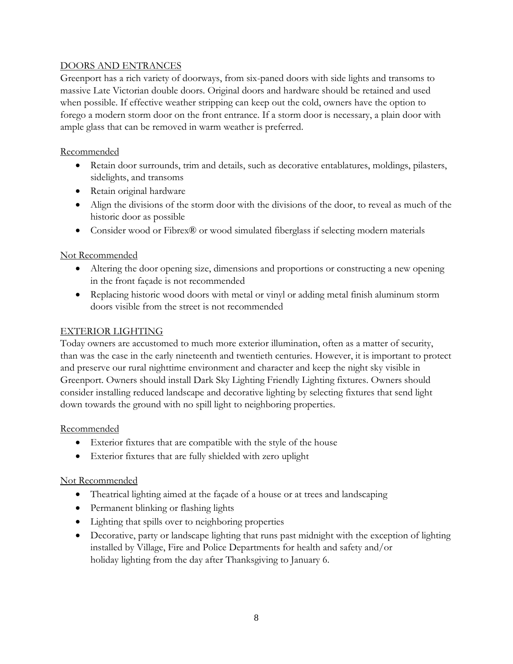#### DOORS AND ENTRANCES

Greenport has a rich variety of doorways, from six-paned doors with side lights and transoms to massive Late Victorian double doors. Original doors and hardware should be retained and used when possible. If effective weather stripping can keep out the cold, owners have the option to forego a modern storm door on the front entrance. If a storm door is necessary, a plain door with ample glass that can be removed in warm weather is preferred.

#### **Recommended**

- Retain door surrounds, trim and details, such as decorative entablatures, moldings, pilasters, sidelights, and transoms
- Retain original hardware
- Align the divisions of the storm door with the divisions of the door, to reveal as much of the historic door as possible
- Consider wood or Fibrex® or wood simulated fiberglass if selecting modern materials

#### Not Recommended

- Altering the door opening size, dimensions and proportions or constructing a new opening in the front façade is not recommended
- Replacing historic wood doors with metal or vinyl or adding metal finish aluminum storm doors visible from the street is not recommended

#### EXTERIOR LIGHTING

Today owners are accustomed to much more exterior illumination, often as a matter of security, than was the case in the early nineteenth and twentieth centuries. However, it is important to protect and preserve our rural nighttime environment and character and keep the night sky visible in Greenport. Owners should install Dark Sky Lighting Friendly Lighting fixtures. Owners should consider installing reduced landscape and decorative lighting by selecting fixtures that send light down towards the ground with no spill light to neighboring properties.

#### Recommended

- Exterior fixtures that are compatible with the style of the house
- Exterior fixtures that are fully shielded with zero uplight

- Theatrical lighting aimed at the façade of a house or at trees and landscaping
- Permanent blinking or flashing lights
- Lighting that spills over to neighboring properties
- Decorative, party or landscape lighting that runs past midnight with the exception of lighting installed by Village, Fire and Police Departments for health and safety and/or holiday lighting from the day after Thanksgiving to January 6.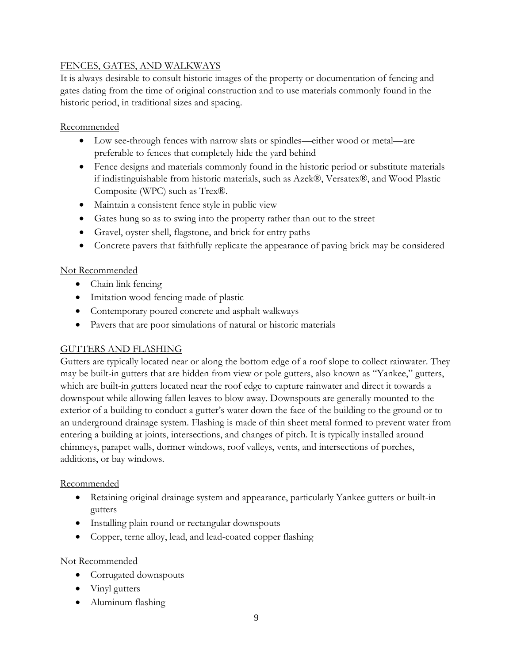# FENCES, GATES, AND WALKWAYS

It is always desirable to consult historic images of the property or documentation of fencing and gates dating from the time of original construction and to use materials commonly found in the historic period, in traditional sizes and spacing.

#### Recommended

- Low see-through fences with narrow slats or spindles—either wood or metal—are preferable to fences that completely hide the yard behind
- Fence designs and materials commonly found in the historic period or substitute materials if indistinguishable from historic materials, such as Azek®, Versatex®, and Wood Plastic Composite (WPC) such as Trex®.
- Maintain a consistent fence style in public view
- Gates hung so as to swing into the property rather than out to the street
- Gravel, oyster shell, flagstone, and brick for entry paths
- Concrete pavers that faithfully replicate the appearance of paving brick may be considered

# Not Recommended

- Chain link fencing
- Imitation wood fencing made of plastic
- Contemporary poured concrete and asphalt walkways
- Pavers that are poor simulations of natural or historic materials

# GUTTERS AND FLASHING

Gutters are typically located near or along the bottom edge of a roof slope to collect rainwater. They may be built-in gutters that are hidden from view or pole gutters, also known as "Yankee," gutters, which are built-in gutters located near the roof edge to capture rainwater and direct it towards a downspout while allowing fallen leaves to blow away. Downspouts are generally mounted to the exterior of a building to conduct a gutter's water down the face of the building to the ground or to an underground drainage system. Flashing is made of thin sheet metal formed to prevent water from entering a building at joints, intersections, and changes of pitch. It is typically installed around chimneys, parapet walls, dormer windows, roof valleys, vents, and intersections of porches, additions, or bay windows.

# Recommended

- Retaining original drainage system and appearance, particularly Yankee gutters or built-in gutters
- Installing plain round or rectangular downspouts
- Copper, terne alloy, lead, and lead-coated copper flashing

- Corrugated downspouts
- Vinyl gutters
- Aluminum flashing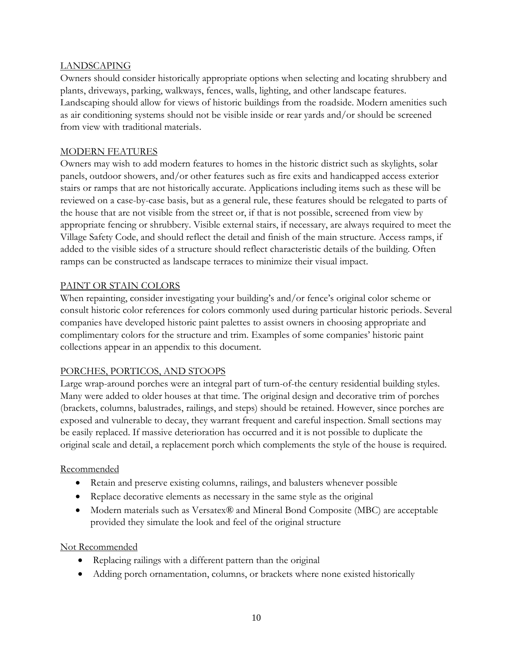#### LANDSCAPING

Owners should consider historically appropriate options when selecting and locating shrubbery and plants, driveways, parking, walkways, fences, walls, lighting, and other landscape features. Landscaping should allow for views of historic buildings from the roadside. Modern amenities such as air conditioning systems should not be visible inside or rear yards and/or should be screened from view with traditional materials.

## MODERN FEATURES

Owners may wish to add modern features to homes in the historic district such as skylights, solar panels, outdoor showers, and/or other features such as fire exits and handicapped access exterior stairs or ramps that are not historically accurate. Applications including items such as these will be reviewed on a case-by-case basis, but as a general rule, these features should be relegated to parts of the house that are not visible from the street or, if that is not possible, screened from view by appropriate fencing or shrubbery. Visible external stairs, if necessary, are always required to meet the Village Safety Code, and should reflect the detail and finish of the main structure. Access ramps, if added to the visible sides of a structure should reflect characteristic details of the building. Often ramps can be constructed as landscape terraces to minimize their visual impact.

#### PAINT OR STAIN COLORS

When repainting, consider investigating your building's and/or fence's original color scheme or consult historic color references for colors commonly used during particular historic periods. Several companies have developed historic paint palettes to assist owners in choosing appropriate and complimentary colors for the structure and trim. Examples of some companies' historic paint collections appear in an appendix to this document.

# PORCHES, PORTICOS, AND STOOPS

Large wrap-around porches were an integral part of turn-of-the century residential building styles. Many were added to older houses at that time. The original design and decorative trim of porches (brackets, columns, balustrades, railings, and steps) should be retained. However, since porches are exposed and vulnerable to decay, they warrant frequent and careful inspection. Small sections may be easily replaced. If massive deterioration has occurred and it is not possible to duplicate the original scale and detail, a replacement porch which complements the style of the house is required.

#### Recommended

- Retain and preserve existing columns, railings, and balusters whenever possible
- Replace decorative elements as necessary in the same style as the original
- Modern materials such as Versatex® and Mineral Bond Composite (MBC) are acceptable provided they simulate the look and feel of the original structure

- Replacing railings with a different pattern than the original
- Adding porch ornamentation, columns, or brackets where none existed historically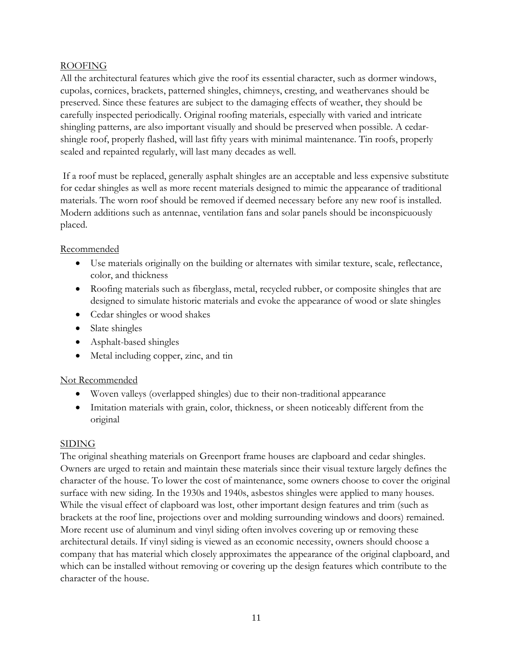#### ROOFING

All the architectural features which give the roof its essential character, such as dormer windows, cupolas, cornices, brackets, patterned shingles, chimneys, cresting, and weathervanes should be preserved. Since these features are subject to the damaging effects of weather, they should be carefully inspected periodically. Original roofing materials, especially with varied and intricate shingling patterns, are also important visually and should be preserved when possible. A cedarshingle roof, properly flashed, will last fifty years with minimal maintenance. Tin roofs, properly sealed and repainted regularly, will last many decades as well.

If a roof must be replaced, generally asphalt shingles are an acceptable and less expensive substitute for cedar shingles as well as more recent materials designed to mimic the appearance of traditional materials. The worn roof should be removed if deemed necessary before any new roof is installed. Modern additions such as antennae, ventilation fans and solar panels should be inconspicuously placed.

#### Recommended

- Use materials originally on the building or alternates with similar texture, scale, reflectance, color, and thickness
- Roofing materials such as fiberglass, metal, recycled rubber, or composite shingles that are designed to simulate historic materials and evoke the appearance of wood or slate shingles
- Cedar shingles or wood shakes
- Slate shingles
- Asphalt-based shingles
- Metal including copper, zinc, and tin

# Not Recommended

- Woven valleys (overlapped shingles) due to their non-traditional appearance
- Imitation materials with grain, color, thickness, or sheen noticeably different from the original

#### SIDING

The original sheathing materials on Greenport frame houses are clapboard and cedar shingles. Owners are urged to retain and maintain these materials since their visual texture largely defines the character of the house. To lower the cost of maintenance, some owners choose to cover the original surface with new siding. In the 1930s and 1940s, asbestos shingles were applied to many houses. While the visual effect of clapboard was lost, other important design features and trim (such as brackets at the roof line, projections over and molding surrounding windows and doors) remained. More recent use of aluminum and vinyl siding often involves covering up or removing these architectural details. If vinyl siding is viewed as an economic necessity, owners should choose a company that has material which closely approximates the appearance of the original clapboard, and which can be installed without removing or covering up the design features which contribute to the character of the house.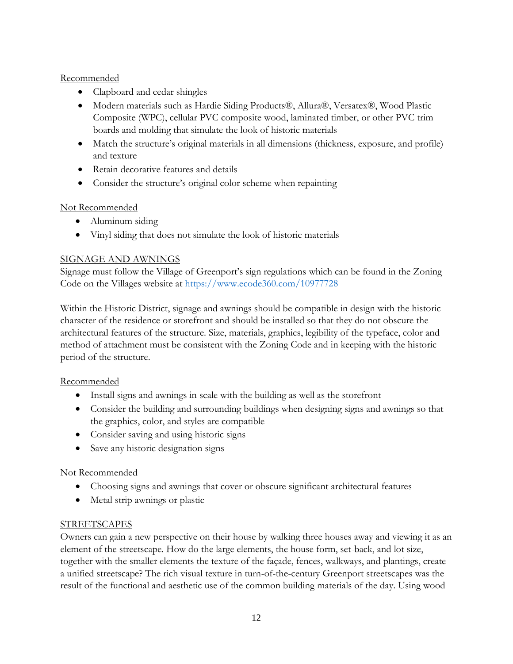# Recommended

- Clapboard and cedar shingles
- Modern materials such as Hardie Siding Products®, Allura®, Versatex®, Wood Plastic Composite (WPC), cellular PVC composite wood, laminated timber, or other PVC trim boards and molding that simulate the look of historic materials
- Match the structure's original materials in all dimensions (thickness, exposure, and profile) and texture
- Retain decorative features and details
- Consider the structure's original color scheme when repainting

# Not Recommended

- Aluminum siding
- Vinyl siding that does not simulate the look of historic materials

# SIGNAGE AND AWNINGS

Signage must follow the Village of Greenport's sign regulations which can be found in the Zoning Code on the Villages website at<https://www.ecode360.com/10977728>

Within the Historic District, signage and awnings should be compatible in design with the historic character of the residence or storefront and should be installed so that they do not obscure the architectural features of the structure. Size, materials, graphics, legibility of the typeface, color and method of attachment must be consistent with the Zoning Code and in keeping with the historic period of the structure.

# Recommended

- Install signs and awnings in scale with the building as well as the storefront
- Consider the building and surrounding buildings when designing signs and awnings so that the graphics, color, and styles are compatible
- Consider saving and using historic signs
- Save any historic designation signs

# Not Recommended

- Choosing signs and awnings that cover or obscure significant architectural features
- Metal strip awnings or plastic

# **STREETSCAPES**

Owners can gain a new perspective on their house by walking three houses away and viewing it as an element of the streetscape. How do the large elements, the house form, set-back, and lot size, together with the smaller elements the texture of the façade, fences, walkways, and plantings, create a unified streetscape? The rich visual texture in turn-of-the-century Greenport streetscapes was the result of the functional and aesthetic use of the common building materials of the day. Using wood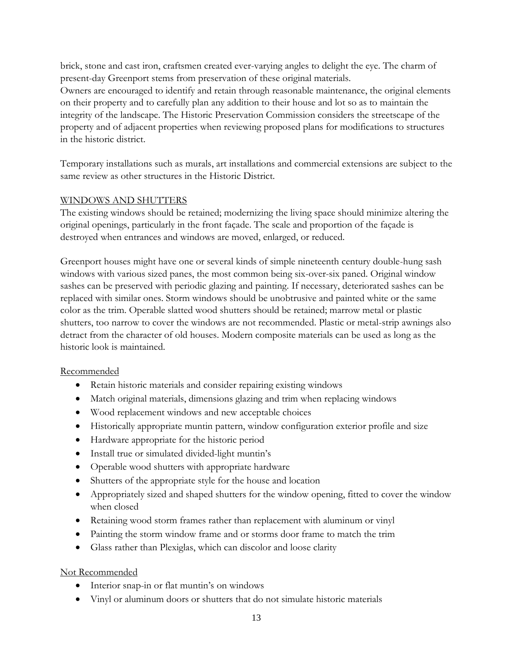brick, stone and cast iron, craftsmen created ever-varying angles to delight the eye. The charm of present-day Greenport stems from preservation of these original materials.

Owners are encouraged to identify and retain through reasonable maintenance, the original elements on their property and to carefully plan any addition to their house and lot so as to maintain the integrity of the landscape. The Historic Preservation Commission considers the streetscape of the property and of adjacent properties when reviewing proposed plans for modifications to structures in the historic district.

Temporary installations such as murals, art installations and commercial extensions are subject to the same review as other structures in the Historic District.

#### WINDOWS AND SHUTTERS

The existing windows should be retained; modernizing the living space should minimize altering the original openings, particularly in the front façade. The scale and proportion of the façade is destroyed when entrances and windows are moved, enlarged, or reduced.

Greenport houses might have one or several kinds of simple nineteenth century double-hung sash windows with various sized panes, the most common being six-over-six paned. Original window sashes can be preserved with periodic glazing and painting. If necessary, deteriorated sashes can be replaced with similar ones. Storm windows should be unobtrusive and painted white or the same color as the trim. Operable slatted wood shutters should be retained; marrow metal or plastic shutters, too narrow to cover the windows are not recommended. Plastic or metal-strip awnings also detract from the character of old houses. Modern composite materials can be used as long as the historic look is maintained.

# Recommended

- Retain historic materials and consider repairing existing windows
- Match original materials, dimensions glazing and trim when replacing windows
- Wood replacement windows and new acceptable choices
- Historically appropriate muntin pattern, window configuration exterior profile and size
- Hardware appropriate for the historic period
- Install true or simulated divided-light muntin's
- Operable wood shutters with appropriate hardware
- Shutters of the appropriate style for the house and location
- Appropriately sized and shaped shutters for the window opening, fitted to cover the window when closed
- Retaining wood storm frames rather than replacement with aluminum or vinyl
- Painting the storm window frame and or storms door frame to match the trim
- Glass rather than Plexiglas, which can discolor and loose clarity

- Interior snap-in or flat muntin's on windows
- Vinyl or aluminum doors or shutters that do not simulate historic materials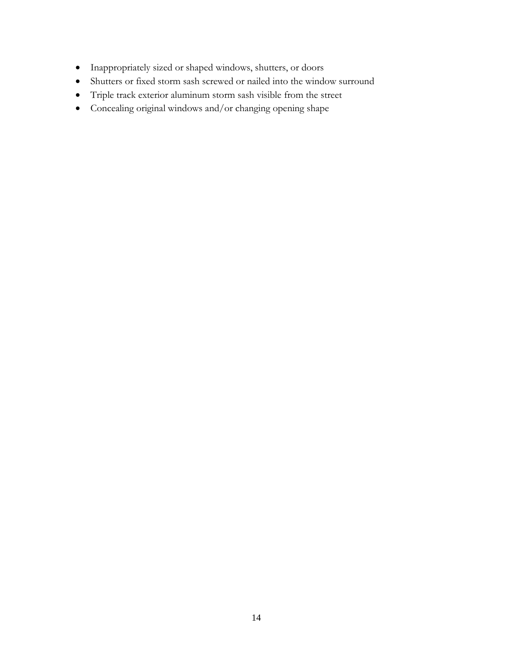- Inappropriately sized or shaped windows, shutters, or doors
- Shutters or fixed storm sash screwed or nailed into the window surround
- Triple track exterior aluminum storm sash visible from the street
- Concealing original windows and/or changing opening shape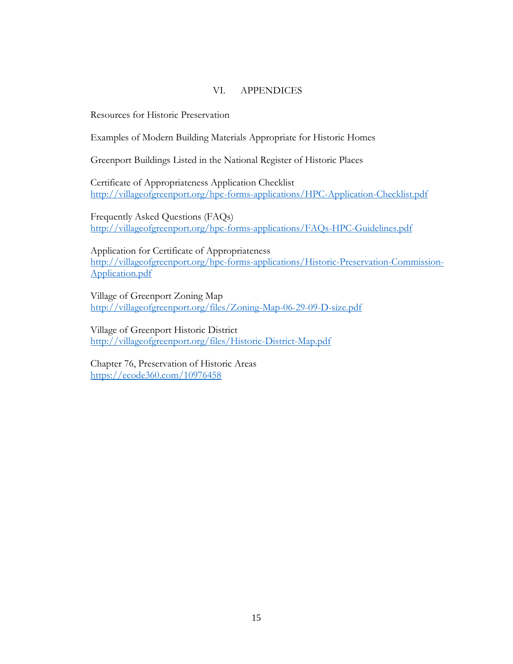#### VI. APPENDICES

Resources for Historic Preservation

Examples of Modern Building Materials Appropriate for Historic Homes

Greenport Buildings Listed in the National Register of Historic Places

Certificate of Appropriateness Application Checklist <http://villageofgreenport.org/hpc-forms-applications/HPC-Application-Checklist.pdf>

Frequently Asked Questions (FAQs) <http://villageofgreenport.org/hpc-forms-applications/FAQs-HPC-Guidelines.pdf>

Application for Certificate of Appropriateness [http://villageofgreenport.org/hpc-forms-applications/Historic-Preservation-Commission-](http://villageofgreenport.org/hpc-forms-applications/Historic-Preservation-Commission-Application.pdf)[Application.pdf](http://villageofgreenport.org/hpc-forms-applications/Historic-Preservation-Commission-Application.pdf)

Village of Greenport Zoning Map <http://villageofgreenport.org/files/Zoning-Map-06-29-09-D-size.pdf>

Village of Greenport Historic District <http://villageofgreenport.org/files/Historic-District-Map.pdf>

Chapter 76, Preservation of Historic Areas <https://ecode360.com/10976458>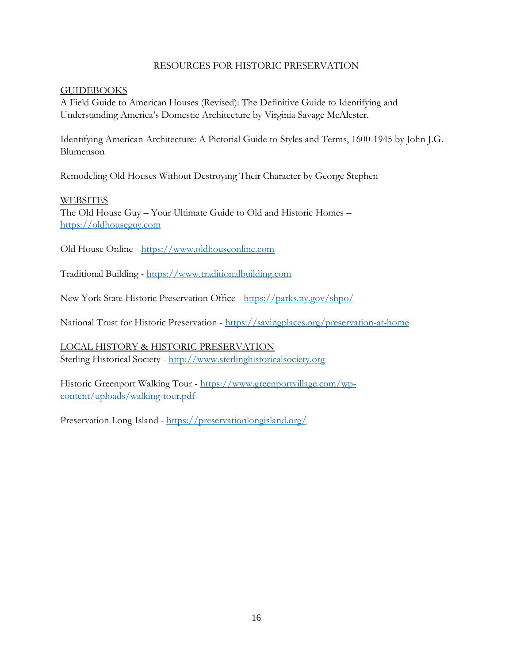#### RESOURCES FOR HISTORIC PRESERVATION

#### GUIDEBOOKS

A Field Guide to American Houses (Revised): The Definitive Guide to Identifying and Understanding America's Domestic Architecture by Virginia Savage McAlester.

Identifying American Architecture: A Pictorial Guide to Styles and Terms, 1600-1945 by John J.G. Blumenson

Remodeling Old Houses Without Destroying Their Character by George Stephen

#### **WEBSITES**

The Old House Guy – Your Ultimate Guide to Old and Historic Homes – [https://oldhouseguy.com](https://oldhouseguy.com/)

Old House Online - [https://www.oldhouseonline.com](https://www.oldhouseonline.com/)

Traditional Building - [https://www.traditionalbuilding.com](https://www.traditionalbuilding.com/)

New York State Historic Preservation Office - <https://parks.ny.gov/shpo/>

National Trust for Historic Preservation - <https://savingplaces.org/preservation-at-home>

LOCAL HISTORY & HISTORIC PRESERVATION Sterling Historical Society - [http://www.sterlinghistoricalsociety.org](http://www.sterlinghistoricalsociety.org/)

Historic Greenport Walking Tour - [https://www.greenportvillage.com/wp](https://www.greenportvillage.com/wp-content/uploads/walking-tour.pdf)[content/uploads/walking-tour.pdf](https://www.greenportvillage.com/wp-content/uploads/walking-tour.pdf)

Preservation Long Island - <https://preservationlongisland.org/>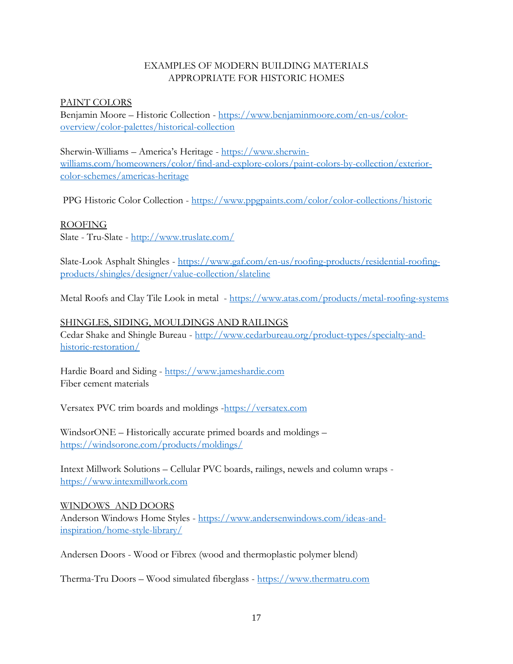#### EXAMPLES OF MODERN BUILDING MATERIALS APPROPRIATE FOR HISTORIC HOMES

#### PAINT COLORS

Benjamin Moore – Historic Collection - [https://www.benjaminmoore.com/en-us/color](https://www.benjaminmoore.com/en-us/color-overview/color-palettes/historical-collection)[overview/color-palettes/historical-collection](https://www.benjaminmoore.com/en-us/color-overview/color-palettes/historical-collection)

Sherwin-Williams – America's Heritage - [https://www.sherwin](https://www.sherwin-williams.com/homeowners/color/find-and-explore-colors/paint-colors-by-collection/exterior-color-schemes/americas-heritage)[williams.com/homeowners/color/find-and-explore-colors/paint-colors-by-collection/exterior](https://www.sherwin-williams.com/homeowners/color/find-and-explore-colors/paint-colors-by-collection/exterior-color-schemes/americas-heritage)[color-schemes/americas-heritage](https://www.sherwin-williams.com/homeowners/color/find-and-explore-colors/paint-colors-by-collection/exterior-color-schemes/americas-heritage)

PPG Historic Color Collection - <https://www.ppgpaints.com/color/color-collections/historic>

#### ROOFING

Slate - Tru-Slate - <http://www.truslate.com/>

Slate-Look Asphalt Shingles - [https://www.gaf.com/en-us/roofing-products/residential-roofing](https://www.gaf.com/en-us/roofing-products/residential-roofing-products/shingles/designer/value-collection/slateline)[products/shingles/designer/value-collection/slateline](https://www.gaf.com/en-us/roofing-products/residential-roofing-products/shingles/designer/value-collection/slateline)

Metal Roofs and Clay Tile Look in metal - <https://www.atas.com/products/metal-roofing-systems>

# SHINGLES, SIDING, MOULDINGS AND RAILINGS

Cedar Shake and Shingle Bureau - [http://www.cedarbureau.org/product-types/specialty-and](http://www.cedarbureau.org/product-types/specialty-and-historic-restoration/)[historic-restoration/](http://www.cedarbureau.org/product-types/specialty-and-historic-restoration/)

Hardie Board and Siding - [https://www.jameshardie.com](https://www.jameshardie.com/) Fiber cement materials

Versatex PVC trim boards and moldings [-https://versatex.com](https://versatex.com/)

WindsorONE – Historically accurate primed boards and moldings – <https://windsorone.com/products/moldings/>

Intext Millwork Solutions – Cellular PVC boards, railings, newels and column wraps [https://www.intexmillwork.com](https://www.intexmillwork.com/)

#### WINDOWS AND DOORS

Anderson Windows Home Styles - [https://www.andersenwindows.com/ideas-and](https://www.andersenwindows.com/ideas-and-inspiration/home-style-library/)[inspiration/home-style-library/](https://www.andersenwindows.com/ideas-and-inspiration/home-style-library/)

Andersen Doors - Wood or Fibrex (wood and thermoplastic polymer blend)

Therma-Tru Doors – Wood simulated fiberglass - [https://www.thermatru.com](https://www.thermatru.com/)